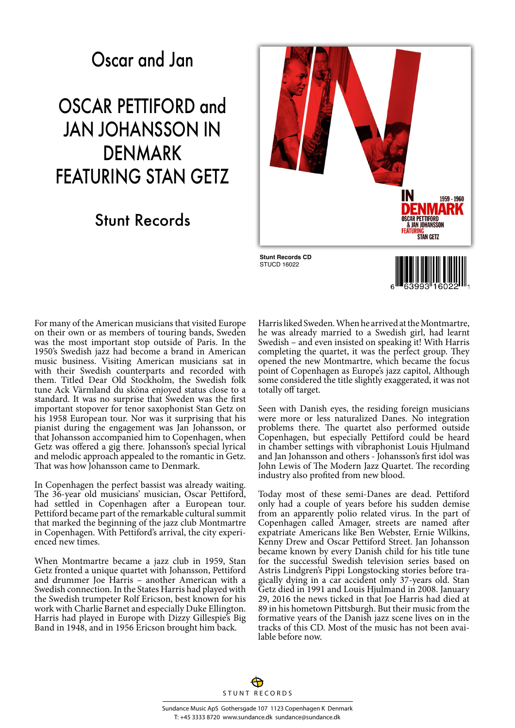## Oscar and Jan

## OSCAR PETTIFORD and JAN JOHANSSON IN DENMARK FEATURING STAN GETZ

## Stunt Records



For many of the American musicians that visited Europe on their own or as members of touring bands, Sweden was the most important stop outside of Paris. In the 1950's Swedish jazz had become a brand in American music business. Visiting American musicians sat in with their Swedish counterparts and recorded with them. Titled Dear Old Stockholm, the Swedish folk tune Ack Värmland du sköna enjoyed status close to a standard. It was no surprise that Sweden was the first important stopover for tenor saxophonist Stan Getz on his 1958 European tour. Nor was it surprising that his pianist during the engagement was Jan Johansson, or that Johansson accompanied him to Copenhagen, when Getz was offered a gig there. Johansson's special lyrical and melodic approach appealed to the romantic in Getz. That was how Johansson came to Denmark.

In Copenhagen the perfect bassist was already waiting. The 36-year old musicians' musician, Oscar Pettiford, had settled in Copenhagen after a European tour. Pettiford became part of the remarkable cultural summit that marked the beginning of the jazz club Montmartre in Copenhagen. With Pettiford's arrival, the city experienced new times.

When Montmartre became a jazz club in 1959, Stan Getz fronted a unique quartet with Johansson, Pettiford and drummer Joe Harris – another American with a Swedish connection. In the States Harris had played with the Swedish trumpeter Rolf Ericson, best known for his work with Charlie Barnet and especially Duke Ellington. Harris had played in Europe with Dizzy Gillespie's Big Band in 1948, and in 1956 Ericson brought him back.

Harris liked Sweden. When he arrived at the Montmartre, he was already married to a Swedish girl, had learnt Swedish – and even insisted on speaking it! With Harris completing the quartet, it was the perfect group. They opened the new Montmartre, which became the focus point of Copenhagen as Europe's jazz capitol, Although some considered the title slightly exaggerated, it was not totally off target.

Seen with Danish eyes, the residing foreign musicians were more or less naturalized Danes. No integration problems there. The quartet also performed outside Copenhagen, but especially Pettiford could be heard in chamber settings with vibraphonist Louis Hjulmand and Jan Johansson and others - Johansson's first idol was John Lewis of The Modern Jazz Quartet. The recording industry also profited from new blood.

Today most of these semi-Danes are dead. Pettiford only had a couple of years before his sudden demise from an apparently polio related virus. In the part of Copenhagen called Amager, streets are named after expatriate Americans like Ben Webster, Ernie Wilkins, Kenny Drew and Oscar Pettiford Street. Jan Johansson became known by every Danish child for his title tune for the successful Swedish television series based on Astris Lindgren's Pippi Longstocking stories before tragically dying in a car accident only 37-years old. Stan Getz died in 1991 and Louis Hjulmand in 2008. January 29, 2016 the news ticked in that Joe Harris had died at 89 in his hometown Pittsburgh. But their music from the formative years of the Danish jazz scene lives on in the tracks of this CD. Most of the music has not been available before now.